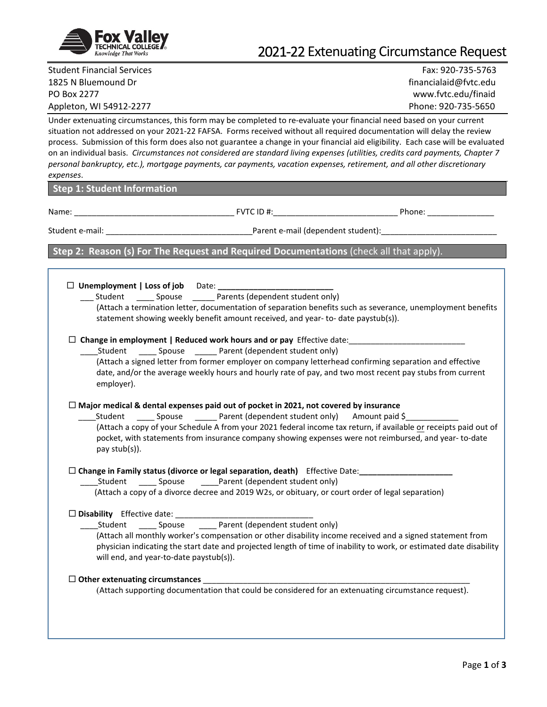

# 2021-22 Extenuating Circumstance Request

Student Financial Services Fax: 920-735-5763 1825 N Bluemound Dr financialaid@fvtc.edu PO Box 2277 www.fvtc.edu/finaid

Appleton, WI 54912-2277 Phone: 920-735-5650

Under extenuating circumstances, this form may be completed to re-evaluate your financial need based on your current situation not addressed on your 2021-22 FAFSA. Forms received without all required documentation will delay the review process. Submission of this form does also not guarantee a change in your financial aid eligibility. Each case will be evaluated on an individual basis. *Circumstances not considered are standard living expenses (utilities, credits card payments, Chapter 7 personal bankruptcy, etc.), mortgage payments, car payments, vacation expenses, retirement, and all other discretionary expenses*.

#### **Step 1: Student Information**

Name: \_\_\_\_\_\_\_\_\_\_\_\_\_\_\_\_\_\_\_\_\_\_\_\_\_\_\_\_\_\_\_\_\_\_\_\_ FVTC ID #:\_\_\_\_\_\_\_\_\_\_\_\_\_\_\_\_\_\_\_\_\_\_\_\_\_\_\_\_ Phone: \_\_\_\_\_\_\_\_\_\_\_\_\_\_\_

Student e-mail: \_\_\_\_\_\_\_\_\_\_\_\_\_\_\_\_\_\_\_\_\_\_\_\_\_\_\_\_\_\_\_\_\_Parent e-mail (dependent student):\_\_\_\_\_\_\_\_\_\_\_\_\_\_\_\_\_\_\_\_\_\_\_\_\_\_

## **Step 2: Reason (s) For The Request and Required Documentations** (check all that apply).

| $\square$ Unemployment   Loss of job Date: |   |
|--------------------------------------------|---|
|                                            | . |

\_\_\_ Student \_\_\_\_ Spouse \_\_\_\_\_ Parents (dependent student only) (Attach a termination letter, documentation of separation benefits such as severance, unemployment benefits statement showing weekly benefit amount received, and year- to- date paystub(s)).

#### □ Change in employment | Reduced work hours and or pay Effective date:

Student Spouse Parent (dependent student only)

(Attach a signed letter from former employer on company letterhead confirming separation and effective date, and/or the average weekly hours and hourly rate of pay, and two most recent pay stubs from current employer).

#### **Major medical & dental expenses paid out of pocket in 2021, not covered by insurance**

Student Spouse Parent (dependent student only) Amount paid \$ (Attach a copy of your Schedule A from your 2021 federal income tax return, if available or receipts paid out of pocket, with statements from insurance company showing expenses were not reimbursed, and year- to-date pay stub(s)).

#### **Change in Family status (divorce or legal separation, death)** Effective Date:**\_\_\_\_\_\_\_\_\_\_\_\_\_\_\_\_\_\_\_\_\_**

\_Student \_\_\_\_\_\_\_\_ Spouse \_\_\_\_\_\_\_\_\_\_\_\_\_\_\_Parent (dependent student only)

(Attach a copy of a divorce decree and 2019 W2s, or obituary, or court order of legal separation)

#### **Disability** Effective date: \_\_\_\_\_\_\_\_\_\_\_\_\_\_\_\_\_\_\_\_\_\_\_\_\_\_\_\_\_\_\_

\_\_\_\_Student \_\_\_\_ Spouse \_\_\_\_ Parent (dependent student only)

(Attach all monthly worker's compensation or other disability income received and a signed statement from physician indicating the start date and projected length of time of inability to work, or estimated date disability will end, and year-to-date paystub(s)).

#### **Other extenuating circumstances** \_\_\_\_\_\_\_\_\_\_\_\_\_\_\_\_\_\_\_\_\_\_\_\_\_\_\_\_\_\_\_\_\_\_\_\_\_\_\_\_\_\_\_\_\_\_\_\_\_\_\_\_\_\_\_\_\_\_\_\_

(Attach supporting documentation that could be considered for an extenuating circumstance request).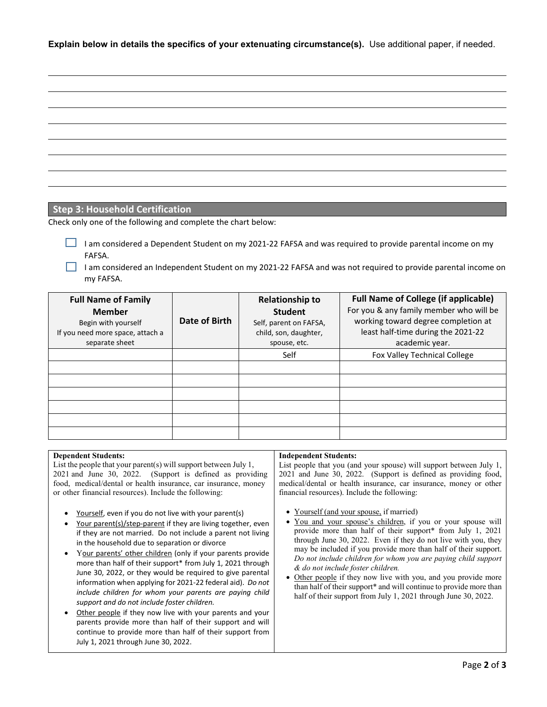**Explain below in details the specifics of your extenuating circumstance(s).** Use additional paper, if needed.

## **Step 3: Household Certification**

Check only one of the following and complete the chart below:

I am considered a Dependent Student on my 2021-22 FAFSA and was required to provide parental income on my FAFSA.

I am considered an Independent Student on my 2021-22 FAFSA and was not required to provide parental income on my FAFSA.

| <b>Full Name of Family</b><br><b>Member</b><br>Begin with yourself<br>If you need more space, attach a<br>separate sheet | Date of Birth | <b>Relationship to</b><br><b>Student</b><br>Self, parent on FAFSA,<br>child, son, daughter,<br>spouse, etc. | <b>Full Name of College (if applicable)</b><br>For you & any family member who will be<br>working toward degree completion at<br>least half-time during the 2021-22<br>academic year. |  |
|--------------------------------------------------------------------------------------------------------------------------|---------------|-------------------------------------------------------------------------------------------------------------|---------------------------------------------------------------------------------------------------------------------------------------------------------------------------------------|--|
|                                                                                                                          |               | Self                                                                                                        | Fox Valley Technical College                                                                                                                                                          |  |
|                                                                                                                          |               |                                                                                                             |                                                                                                                                                                                       |  |
|                                                                                                                          |               |                                                                                                             |                                                                                                                                                                                       |  |
|                                                                                                                          |               |                                                                                                             |                                                                                                                                                                                       |  |
|                                                                                                                          |               |                                                                                                             |                                                                                                                                                                                       |  |
|                                                                                                                          |               |                                                                                                             |                                                                                                                                                                                       |  |
|                                                                                                                          |               |                                                                                                             |                                                                                                                                                                                       |  |

#### **Dependent Students:**

List the people that your parent(s) will support between July 1, 2021 and June 30, 2022. (Support is defined as providing food, medical/dental or health insurance, car insurance, money or other financial resources). Include the following:

- Yourself, even if you do not live with your parent(s)
- Your parent(s)/step-parent if they are living together, even if they are not married. Do not include a parent not living in the household due to separation or divorce
- Your parents' other children (only if your parents provide more than half of their support\* from July 1, 2021 through June 30, 2022, or they would be required to give parental information when applying for 2021-22 federal aid). *Do not include children for whom your parents are paying child support and do not include foster children.*
- Other people if they now live with your parents and your parents provide more than half of their support and will continue to provide more than half of their support from July 1, 2021 through June 30, 2022.

#### **Independent Students:**

List people that you (and your spouse) will support between July 1, 2021 and June 30, 2022. (Support is defined as providing food, medical/dental or health insurance, car insurance, money or other financial resources). Include the following:

- Yourself (and your spouse, if married)
- You and your spouse's children, if you or your spouse will provide more than half of their support\* from July 1, 2021 through June 30, 2022. Even if they do not live with you, they may be included if you provide more than half of their support. *Do not include children for whom you are paying child support & do not include foster children.*
- Other people if they now live with you, and you provide more than half of their support\* and will continue to provide more than half of their support from July 1, 2021 through June 30, 2022.